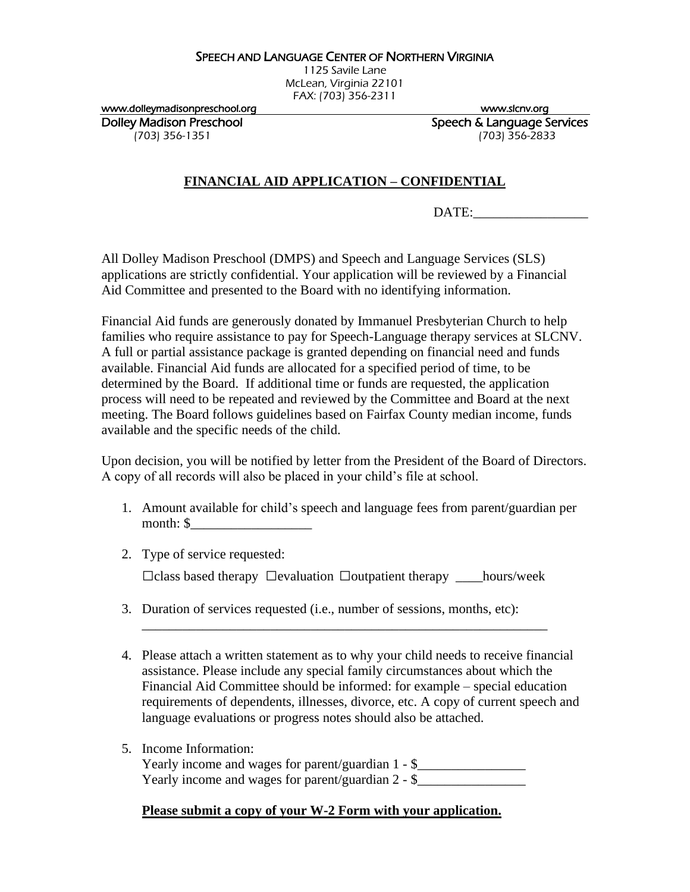## SPEECH AND LANGUAGE CENTER OF NORTHERN VIRGINIA

1125 Savile Lane McLean, Virginia 22101 FAX: (703) 356-2311

www.dolleymadisonpreschool.org www.slcnv.org

Dolley Madison Preschool **Speech & Language Services** (703) 356-1351 (703) 356-2833

## **FINANCIAL AID APPLICATION – CONFIDENTIAL**

DATE:

All Dolley Madison Preschool (DMPS) and Speech and Language Services (SLS) applications are strictly confidential. Your application will be reviewed by a Financial Aid Committee and presented to the Board with no identifying information.

Financial Aid funds are generously donated by Immanuel Presbyterian Church to help families who require assistance to pay for Speech-Language therapy services at SLCNV. A full or partial assistance package is granted depending on financial need and funds available. Financial Aid funds are allocated for a specified period of time, to be determined by the Board. If additional time or funds are requested, the application process will need to be repeated and reviewed by the Committee and Board at the next meeting. The Board follows guidelines based on Fairfax County median income, funds available and the specific needs of the child.

Upon decision, you will be notified by letter from the President of the Board of Directors. A copy of all records will also be placed in your child's file at school.

- 1. Amount available for child's speech and language fees from parent/guardian per month: \$\_\_\_\_\_\_\_\_\_\_\_\_\_\_\_\_\_\_
- 2. Type of service requested: □class based therapy □evaluation □outpatient therapy \_\_\_\_hours/week
- 3. Duration of services requested (i.e., number of sessions, months, etc):
- 4. Please attach a written statement as to why your child needs to receive financial assistance. Please include any special family circumstances about which the Financial Aid Committee should be informed: for example – special education requirements of dependents, illnesses, divorce, etc. A copy of current speech and language evaluations or progress notes should also be attached.

\_\_\_\_\_\_\_\_\_\_\_\_\_\_\_\_\_\_\_\_\_\_\_\_\_\_\_\_\_\_\_\_\_\_\_\_\_\_\_\_\_\_\_\_\_\_\_\_\_\_\_\_\_\_\_\_\_\_\_\_

5. Income Information:

Yearly income and wages for parent/guardian 1 - \$\_\_\_\_\_\_\_\_\_\_\_\_\_\_\_\_\_\_\_\_\_\_\_\_\_\_\_\_\_\_\_ Yearly income and wages for parent/guardian  $2 - 2$ 

## **Please submit a copy of your W-2 Form with your application.**